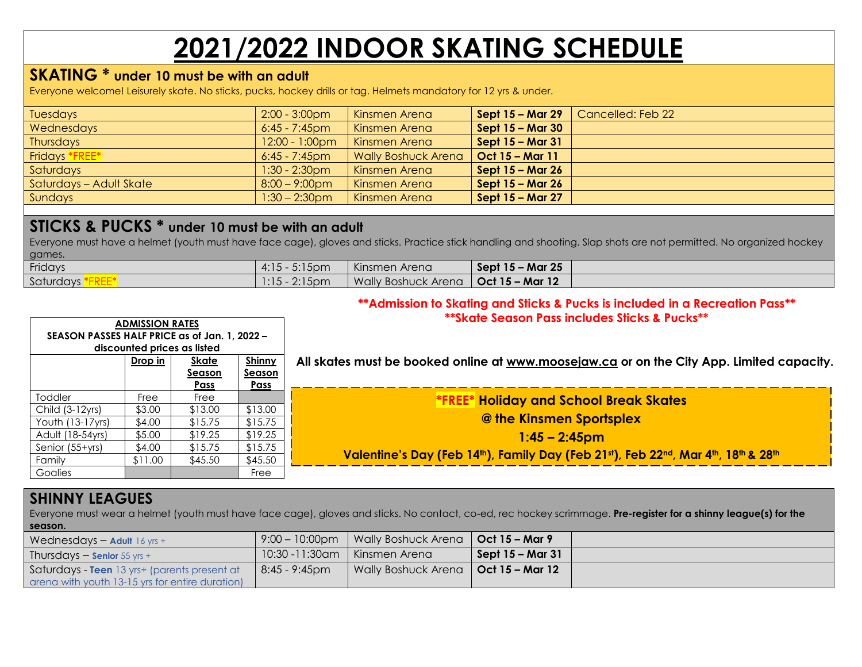# **2021/2022 INDOOR SKATING SCHEDULE**

# **SKATING \* under 10 must be with an adult**

Everyone welcome! Leisurely skate. No sticks, pucks, hockey drills or tag. Helmets mandatory for 12 yrs & under.

| Tuesdays                | $2:00 - 3:00$ pm         | Kinsmen Arena              | Sept 15 – Mar 29 | Cancelled: Feb 22 |
|-------------------------|--------------------------|----------------------------|------------------|-------------------|
| Wednesdays              | $6:45 - 7:45$ pm         | Kinsmen Arena              | Sept 15 – Mar 30 |                   |
| Thursdays               | $12:00 - 1:00 \text{pm}$ | Kinsmen Arena              | Sept 15 – Mar 31 |                   |
| Fridays *FREE*          | $6:45 - 7:45$ pm         | <b>Wally Boshuck Arena</b> | Oct 15 - Mar 11  |                   |
| Saturdays               | $1:30 - 2:30$ pm         | Kinsmen Arena              | Sept 15 – Mar 26 |                   |
| Saturdays – Adult Skate | $8:00 - 9:00$ pm         | Kinsmen Arena              | Sept 15 – Mar 26 |                   |
| Sundays                 | $1:30 - 2:30$ pm         | Kinsmen Arena              | Sept 15 – Mar 27 |                   |
|                         |                          |                            |                  |                   |

# **STICKS & PUCKS \* under 10 must be with an adult**

Everyone must have a helmet (youth must have face cage), gloves and sticks. Practice stick handling and shooting. Slap shots are not permitted. No organized hockey games.

| Fridays   | $5:15$ pm<br>4:15 | Kinsmen Arena              | <b>Sept 15 – Mar 25</b> |  |
|-----------|-------------------|----------------------------|-------------------------|--|
| Saturdays | $2:15$ pm         | <b>Wally Boshuck Arena</b> | Oct 15 – Mar 12         |  |

#### **\*\*Admission to Skating and Sticks & Pucks is included in a Recreation Pass\*\* \*\*Skate Season Pass includes Sticks & Pucks\*\***

|                                               | <b>ADMISSION RATES</b> |                             |         | SKOIE SEOSON FOSS INCIDUES SIICKS & FUCKS                                                 |
|-----------------------------------------------|------------------------|-----------------------------|---------|-------------------------------------------------------------------------------------------|
| SEASON PASSES HALF PRICE as of Jan. 1, 2022 - |                        |                             |         |                                                                                           |
|                                               |                        | discounted prices as listed |         |                                                                                           |
|                                               | Drop in                | <b>Skate</b>                | Shinny  | All skates must be booked online at www.moosejaw.ca or on the City App. Limited capacity. |
|                                               |                        | <b>Season</b>               | Season  |                                                                                           |
|                                               |                        | Pass                        | Pass    |                                                                                           |
| Toddler                                       | Free                   | Free                        |         | <b>*FREE* Holiday and School Break Skates</b>                                             |
| Child (3-12yrs)                               | \$3.00                 | \$13.00                     | \$13.00 |                                                                                           |
| Youth (13-17yrs)                              | \$4.00                 | \$15.75                     | \$15.75 | @ the Kinsmen Sportsplex                                                                  |
| Adult (18-54yrs)                              | \$5.00                 | \$19.25                     | \$19.25 | $1:45 - 2:45$ pm                                                                          |
| Senior (55+yrs)                               | \$4.00                 | \$15.75                     | \$15.75 |                                                                                           |
| Family                                        | \$11.00                | \$45.50                     | \$45.50 | Valentine's Day (Feb 14th), Family Day (Feb 21st), Feb 22nd, Mar 4th, 18th & 28th         |
| Goalies                                       |                        |                             | Free    |                                                                                           |

### **SHINNY LEAGUES**

Everyone must wear a helmet (youth must have face cage), gloves and sticks. No contact, co-ed, rec hockey scrimmage. **Pre-register for a shinny league(s) for the season.**

| Wednesdays - Adult $16$ yrs +                   | $9:00 - 10:00$ pm | Wally Boshuck Arena   Oct 15 – Mar 9  |                    |  |
|-------------------------------------------------|-------------------|---------------------------------------|--------------------|--|
| Thursdays $-$ Senior 55 yrs +                   | 10:30 -11:30am    | Kinsmen Arena                         | . Sept 15 – Mar 31 |  |
| Saturdays - Teen 13 yrs+ (parents present at    | 8:45 - 9:45pm     | Wally Boshuck Arena   Oct 15 - Mar 12 |                    |  |
| arena with youth 13-15 yrs for entire duration) |                   |                                       |                    |  |